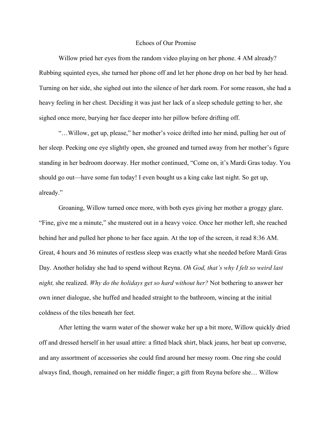## Echoes of Our Promise

Willow pried her eyes from the random video playing on her phone. 4 AM already? Rubbing squinted eyes, she turned her phone off and let her phone drop on her bed by her head. Turning on her side, she sighed out into the silence of her dark room. For some reason, she had a heavy feeling in her chest. Deciding it was just her lack of a sleep schedule getting to her, she sighed once more, burying her face deeper into her pillow before drifting off.

"…Willow, get up, please," her mother's voice drifted into her mind, pulling her out of her sleep. Peeking one eye slightly open, she groaned and turned away from her mother's figure standing in her bedroom doorway. Her mother continued, "Come on, it's Mardi Gras today. You should go out—have some fun today! I even bought us a king cake last night. So get up, already."

Groaning, Willow turned once more, with both eyes giving her mother a groggy glare. "Fine, give me a minute," she mustered out in a heavy voice. Once her mother left, she reached behind her and pulled her phone to her face again. At the top of the screen, it read 8:36 AM. Great, 4 hours and 36 minutes of restless sleep was exactly what she needed before Mardi Gras Day. Another holiday she had to spend without Reyna. *Oh God, that's why I felt so weird last night,* she realized. *Why do the holidays get so hard without her?* Not bothering to answer her own inner dialogue, she huffed and headed straight to the bathroom, wincing at the initial coldness of the tiles beneath her feet.

After letting the warm water of the shower wake her up a bit more, Willow quickly dried off and dressed herself in her usual attire: a fitted black shirt, black jeans, her beat up converse, and any assortment of accessories she could find around her messy room. One ring she could always find, though, remained on her middle finger; a gift from Reyna before she… Willow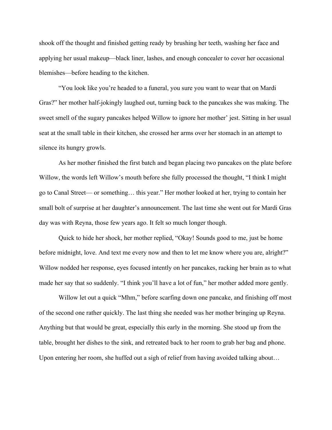shook off the thought and finished getting ready by brushing her teeth, washing her face and applying her usual makeup—black liner, lashes, and enough concealer to cover her occasional blemishes—before heading to the kitchen.

"You look like you're headed to a funeral, you sure you want to wear that on Mardi Gras?" her mother half-jokingly laughed out, turning back to the pancakes she was making. The sweet smell of the sugary pancakes helped Willow to ignore her mother' jest. Sitting in her usual seat at the small table in their kitchen, she crossed her arms over her stomach in an attempt to silence its hungry growls.

As her mother finished the first batch and began placing two pancakes on the plate before Willow, the words left Willow's mouth before she fully processed the thought, "I think I might go to Canal Street— or something… this year." Her mother looked at her, trying to contain her small bolt of surprise at her daughter's announcement. The last time she went out for Mardi Gras day was with Reyna, those few years ago. It felt so much longer though.

Quick to hide her shock, her mother replied, "Okay! Sounds good to me, just be home before midnight, love. And text me every now and then to let me know where you are, alright?" Willow nodded her response, eyes focused intently on her pancakes, racking her brain as to what made her say that so suddenly. "I think you'll have a lot of fun," her mother added more gently.

Willow let out a quick "Mhm," before scarfing down one pancake, and finishing off most of the second one rather quickly. The last thing she needed was her mother bringing up Reyna. Anything but that would be great, especially this early in the morning. She stood up from the table, brought her dishes to the sink, and retreated back to her room to grab her bag and phone. Upon entering her room, she huffed out a sigh of relief from having avoided talking about…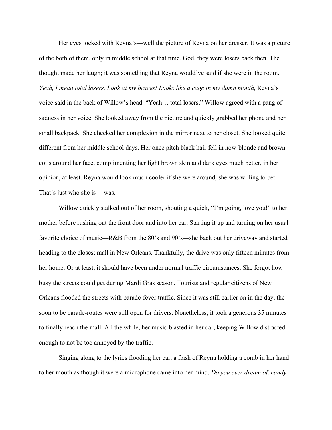Her eyes locked with Reyna's—well the picture of Reyna on her dresser. It was a picture of the both of them, only in middle school at that time. God, they were losers back then. The thought made her laugh; it was something that Reyna would've said if she were in the room. *Yeah, I mean total losers. Look at my braces! Looks like a cage in my damn mouth,* Reyna's voice said in the back of Willow's head. "Yeah… total losers," Willow agreed with a pang of sadness in her voice. She looked away from the picture and quickly grabbed her phone and her small backpack. She checked her complexion in the mirror next to her closet. She looked quite different from her middle school days. Her once pitch black hair fell in now-blonde and brown coils around her face, complimenting her light brown skin and dark eyes much better, in her opinion, at least. Reyna would look much cooler if she were around, she was willing to bet. That's just who she is— was.

Willow quickly stalked out of her room, shouting a quick, "I'm going, love you!" to her mother before rushing out the front door and into her car. Starting it up and turning on her usual favorite choice of music—R&B from the 80's and 90's—she back out her driveway and started heading to the closest mall in New Orleans. Thankfully, the drive was only fifteen minutes from her home. Or at least, it should have been under normal traffic circumstances. She forgot how busy the streets could get during Mardi Gras season. Tourists and regular citizens of New Orleans flooded the streets with parade-fever traffic. Since it was still earlier on in the day, the soon to be parade-routes were still open for drivers. Nonetheless, it took a generous 35 minutes to finally reach the mall. All the while, her music blasted in her car, keeping Willow distracted enough to not be too annoyed by the traffic.

Singing along to the lyrics flooding her car, a flash of Reyna holding a comb in her hand to her mouth as though it were a microphone came into her mind. *Do you ever dream of, candy-*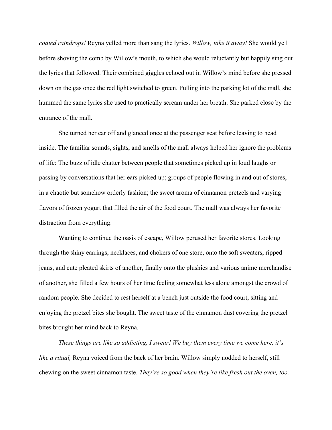*coated raindrops!* Reyna yelled more than sang the lyrics. *Willow, take it away!* She would yell before shoving the comb by Willow's mouth, to which she would reluctantly but happily sing out the lyrics that followed. Their combined giggles echoed out in Willow's mind before she pressed down on the gas once the red light switched to green. Pulling into the parking lot of the mall, she hummed the same lyrics she used to practically scream under her breath. She parked close by the entrance of the mall.

She turned her car off and glanced once at the passenger seat before leaving to head inside. The familiar sounds, sights, and smells of the mall always helped her ignore the problems of life: The buzz of idle chatter between people that sometimes picked up in loud laughs or passing by conversations that her ears picked up; groups of people flowing in and out of stores, in a chaotic but somehow orderly fashion; the sweet aroma of cinnamon pretzels and varying flavors of frozen yogurt that filled the air of the food court. The mall was always her favorite distraction from everything.

Wanting to continue the oasis of escape, Willow perused her favorite stores. Looking through the shiny earrings, necklaces, and chokers of one store, onto the soft sweaters, ripped jeans, and cute pleated skirts of another, finally onto the plushies and various anime merchandise of another, she filled a few hours of her time feeling somewhat less alone amongst the crowd of random people. She decided to rest herself at a bench just outside the food court, sitting and enjoying the pretzel bites she bought. The sweet taste of the cinnamon dust covering the pretzel bites brought her mind back to Reyna.

*These things are like so addicting, I swear! We buy them every time we come here, it's like a ritual,* Reyna voiced from the back of her brain. Willow simply nodded to herself, still chewing on the sweet cinnamon taste. *They're so good when they're like fresh out the oven, too.*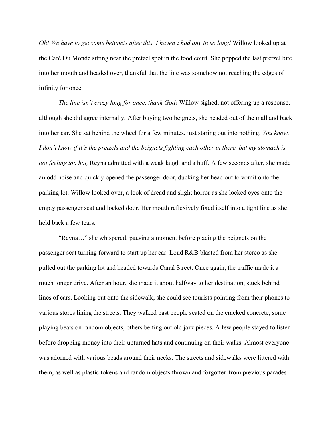*Oh! We have to get some beignets after this. I haven't had any in so long!* Willow looked up at the Café Du Monde sitting near the pretzel spot in the food court. She popped the last pretzel bite into her mouth and headed over, thankful that the line was somehow not reaching the edges of infinity for once.

*The line isn't crazy long for once, thank God!* Willow sighed, not offering up a response, although she did agree internally. After buying two beignets, she headed out of the mall and back into her car. She sat behind the wheel for a few minutes, just staring out into nothing. *You know, I don't know if it's the pretzels and the beignets fighting each other in there, but my stomach is not feeling too hot,* Reyna admitted with a weak laugh and a huff. A few seconds after, she made an odd noise and quickly opened the passenger door, ducking her head out to vomit onto the parking lot. Willow looked over, a look of dread and slight horror as she locked eyes onto the empty passenger seat and locked door. Her mouth reflexively fixed itself into a tight line as she held back a few tears.

"Reyna…" she whispered, pausing a moment before placing the beignets on the passenger seat turning forward to start up her car. Loud R&B blasted from her stereo as she pulled out the parking lot and headed towards Canal Street. Once again, the traffic made it a much longer drive. After an hour, she made it about halfway to her destination, stuck behind lines of cars. Looking out onto the sidewalk, she could see tourists pointing from their phones to various stores lining the streets. They walked past people seated on the cracked concrete, some playing beats on random objects, others belting out old jazz pieces. A few people stayed to listen before dropping money into their upturned hats and continuing on their walks. Almost everyone was adorned with various beads around their necks. The streets and sidewalks were littered with them, as well as plastic tokens and random objects thrown and forgotten from previous parades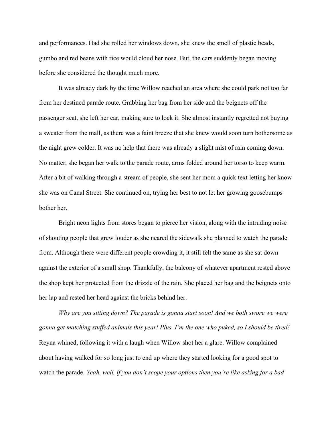and performances. Had she rolled her windows down, she knew the smell of plastic beads, gumbo and red beans with rice would cloud her nose. But, the cars suddenly began moving before she considered the thought much more.

It was already dark by the time Willow reached an area where she could park not too far from her destined parade route. Grabbing her bag from her side and the beignets off the passenger seat, she left her car, making sure to lock it. She almost instantly regretted not buying a sweater from the mall, as there was a faint breeze that she knew would soon turn bothersome as the night grew colder. It was no help that there was already a slight mist of rain coming down. No matter, she began her walk to the parade route, arms folded around her torso to keep warm. After a bit of walking through a stream of people, she sent her mom a quick text letting her know she was on Canal Street. She continued on, trying her best to not let her growing goosebumps bother her.

Bright neon lights from stores began to pierce her vision, along with the intruding noise of shouting people that grew louder as she neared the sidewalk she planned to watch the parade from. Although there were different people crowding it, it still felt the same as she sat down against the exterior of a small shop. Thankfully, the balcony of whatever apartment rested above the shop kept her protected from the drizzle of the rain. She placed her bag and the beignets onto her lap and rested her head against the bricks behind her.

*Why are you sitting down? The parade is gonna start soon! And we both swore we were gonna get matching stuffed animals this year! Plus, I'm the one who puked, so I should be tired!*  Reyna whined, following it with a laugh when Willow shot her a glare. Willow complained about having walked for so long just to end up where they started looking for a good spot to watch the parade. *Yeah, well, if you don't scope your options then you're like asking for a bad*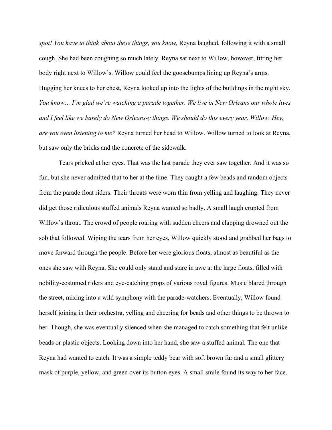*spot! You have to think about these things, you know,* Reyna laughed, following it with a small cough. She had been coughing so much lately. Reyna sat next to Willow, however, fitting her body right next to Willow's. Willow could feel the goosebumps lining up Reyna's arms. Hugging her knees to her chest, Reyna looked up into the lights of the buildings in the night sky. *You know… I'm glad we're watching a parade together. We live in New Orleans our whole lives and I feel like we barely do New Orleans-y things. We should do this every year, Willow. Hey, are you even listening to me?* Reyna turned her head to Willow. Willow turned to look at Reyna, but saw only the bricks and the concrete of the sidewalk.

Tears pricked at her eyes. That was the last parade they ever saw together. And it was so fun, but she never admitted that to her at the time. They caught a few beads and random objects from the parade float riders. Their throats were worn thin from yelling and laughing. They never did get those ridiculous stuffed animals Reyna wanted so badly. A small laugh erupted from Willow's throat. The crowd of people roaring with sudden cheers and clapping drowned out the sob that followed. Wiping the tears from her eyes, Willow quickly stood and grabbed her bags to move forward through the people. Before her were glorious floats, almost as beautiful as the ones she saw with Reyna. She could only stand and stare in awe at the large floats, filled with nobility-costumed riders and eye-catching props of various royal figures. Music blared through the street, mixing into a wild symphony with the parade-watchers. Eventually, Willow found herself joining in their orchestra, yelling and cheering for beads and other things to be thrown to her. Though, she was eventually silenced when she managed to catch something that felt unlike beads or plastic objects. Looking down into her hand, she saw a stuffed animal. The one that Reyna had wanted to catch. It was a simple teddy bear with soft brown fur and a small glittery mask of purple, yellow, and green over its button eyes. A small smile found its way to her face.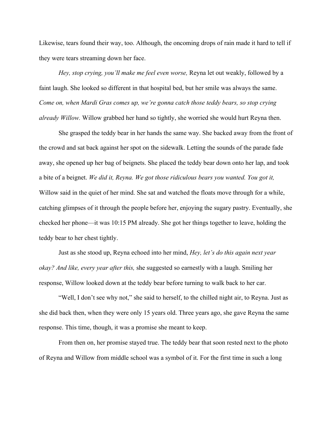Likewise, tears found their way, too. Although, the oncoming drops of rain made it hard to tell if they were tears streaming down her face.

*Hey, stop crying, you'll make me feel even worse,* Reyna let out weakly, followed by a faint laugh. She looked so different in that hospital bed, but her smile was always the same. *Come on, when Mardi Gras comes up, we're gonna catch those teddy bears, so stop crying already Willow.* Willow grabbed her hand so tightly, she worried she would hurt Reyna then.

She grasped the teddy bear in her hands the same way. She backed away from the front of the crowd and sat back against her spot on the sidewalk. Letting the sounds of the parade fade away, she opened up her bag of beignets. She placed the teddy bear down onto her lap, and took a bite of a beignet. *We did it, Reyna. We got those ridiculous bears you wanted. You got it,* Willow said in the quiet of her mind. She sat and watched the floats move through for a while, catching glimpses of it through the people before her, enjoying the sugary pastry. Eventually, she checked her phone—it was 10:15 PM already. She got her things together to leave, holding the teddy bear to her chest tightly.

Just as she stood up, Reyna echoed into her mind, *Hey, let's do this again next year okay? And like, every year after this,* she suggested so earnestly with a laugh. Smiling her response, Willow looked down at the teddy bear before turning to walk back to her car.

"Well, I don't see why not," she said to herself, to the chilled night air, to Reyna. Just as she did back then, when they were only 15 years old. Three years ago, she gave Reyna the same response. This time, though, it was a promise she meant to keep.

From then on, her promise stayed true. The teddy bear that soon rested next to the photo of Reyna and Willow from middle school was a symbol of it. For the first time in such a long